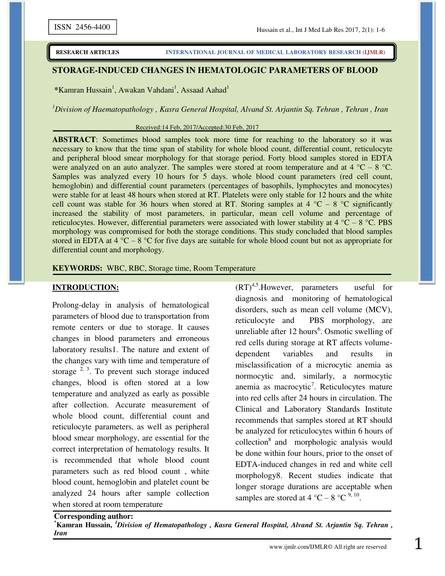### **STORAGE-INDUCED CHANGES IN HEMATOLOGIC PARAMETERS OF BLOOD**

\*Kamran Hussain<sup>1</sup>, Awakan Vahdani<sup>1</sup>, Assaad Aahad<sup>1</sup>

*<sup>1</sup>Division of Haematopathology , Kasra General Hospital, Alvand St. Arjantin Sq. Tehran , Tehran , Iran*

#### Received:14 Feb, 2017/Accepted:30 Feb, 2017

**ABSTRACT**: Sometimes blood samples took more time for reaching to the laboratory so it was necessary to know that the time span of stability for whole blood count, differential count, reticulocyte and peripheral blood smear morphology for that storage period. Forty blood samples stored in EDTA were analyzed on an auto analyzer. The samples were stored at room temperature and at  $4^{\circ}$ C –  $8^{\circ}$ C. Samples was analyzed every 10 hours for 5 days. whole blood count parameters (red cell count, hemoglobin) and differential count parameters (percentages of basophils, lymphocytes and monocytes) were stable for at least 48 hours when stored at RT. Platelets were only stable for 12 hours and the white cell count was stable for 36 hours when stored at RT. Storing samples at 4  $^{\circ}C$  – 8  $^{\circ}C$  significantly increased the stability of most parameters, in particular, mean cell volume and percentage of reticulocytes. However, differential parameters were associated with lower stability at  $4^{\circ}$ C –  $8^{\circ}$ C. PBS morphology was compromised for both the storage conditions. This study concluded that blood samples stored in EDTA at  $4^{\circ}$ C –  $8^{\circ}$ C for five days are suitable for whole blood count but not as appropriate for differential count and morphology.

#### **KEYWORDS:** WBC, RBC, Storage time, Room Temperature

#### **INTRODUCTION:**

Prolong-delay in analysis of hematological parameters of blood due to transportation from remote centers or due to storage. It causes changes in blood parameters and erroneous laboratory results1. The nature and extent of the changes vary with time and temperature of storage  $2, 3$ . To prevent such storage induced changes, blood is often stored at a low temperature and analyzed as early as possible after collection. Accurate measurement of whole blood count, differential count and reticulocyte parameters, as well as peripheral blood smear morphology, are essential for the correct interpretation of hematology results. It is recommended that whole blood count parameters such as red blood count , white blood count, hemoglobin and platelet count be analyzed 24 hours after sample collection when stored at room temperature

 $(RT)^{4,5}$ . However, parameters useful for diagnosis and monitoring of hematological disorders, such as mean cell volume (MCV), reticulocyte and PBS morphology, are unreliable after  $12$  hours<sup>6</sup>. Osmotic swelling of red cells during storage at RT affects volumedependent variables and results in misclassification of a microcytic anemia as normocytic and, similarly, a normocytic anemia as macrocytic<sup>7</sup>. Reticulocytes mature into red cells after 24 hours in circulation. The Clinical and Laboratory Standards Institute recommends that samples stored at RT should be analyzed for reticulocytes within 6 hours of collection<sup>8</sup> and morphologic analysis would be done within four hours, prior to the onset of EDTA-induced changes in red and white cell morphology8. Recent studies indicate that longer storage durations are acceptable when samples are stored at 4 °C – 8 °C  $^{9, 10}$ .

**Corresponding author: \*Kamran Hussain,** *<sup>1</sup>Division of Hematopathology , Kasra General Hospital, Alvand St. Arjantin Sq. Tehran , Iran*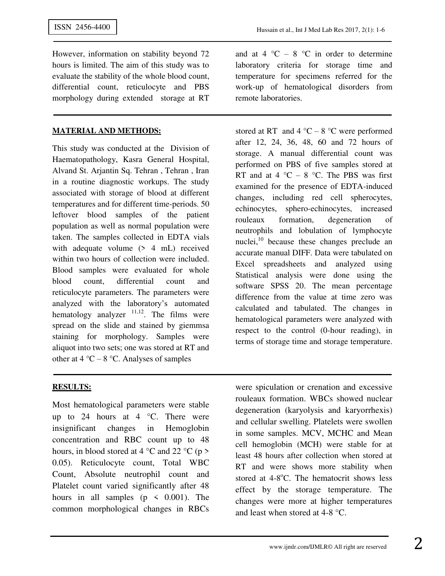However, information on stability beyond 72 hours is limited. The aim of this study was to evaluate the stability of the whole blood count, differential count, reticulocyte and PBS morphology during extended storage at RT

### **MATERIAL AND METHODS:**

This study was conducted at the Division of Haematopathology, Kasra General Hospital, Alvand St. Arjantin Sq. Tehran , Tehran , Iran in a routine diagnostic workups. The study associated with storage of blood at different temperatures and for different time-periods. 50 leftover blood samples of the patient population as well as normal population were taken. The samples collected in EDTA vials with adequate volume (> 4 mL) received within two hours of collection were included. Blood samples were evaluated for whole blood count, differential count and reticulocyte parameters. The parameters were analyzed with the laboratory's automated hematology analyzer  $11,12$ . The films were spread on the slide and stained by giemmsa staining for morphology. Samples were aliquot into two sets; one was stored at RT and other at  $4^{\circ}$ C –  $8^{\circ}$ C. Analyses of samples

and at  $4 \text{ }^{\circ}C - 8 \text{ }^{\circ}C$  in order to determine laboratory criteria for storage time and temperature for specimens referred for the work-up of hematological disorders from remote laboratories.

stored at RT and  $4^{\circ}$ C –  $8^{\circ}$ C were performed after 12, 24, 36, 48, 60 and 72 hours of storage. A manual differential count was performed on PBS of five samples stored at RT and at 4  $^{\circ}$ C – 8  $^{\circ}$ C. The PBS was first examined for the presence of EDTA-induced changes, including red cell spherocytes, echinocytes, sphero-echinocytes, increased rouleaux formation, degeneration of neutrophils and lobulation of lymphocyte nuclei, $^{10}$  because these changes preclude an accurate manual DIFF. Data were tabulated on Excel spreadsheets and analyzed using Statistical analysis were done using the software SPSS 20. The mean percentage difference from the value at time zero was calculated and tabulated. The changes in hematological parameters were analyzed with respect to the control (0-hour reading), in terms of storage time and storage temperature.

## **RESULTS:**

Most hematological parameters were stable up to 24 hours at 4  $°C$ . There were insignificant changes in Hemoglobin concentration and RBC count up to 48 hours, in blood stored at 4  $\degree$ C and 22  $\degree$ C (p > 0.05). Reticulocyte count, Total WBC Count, Absolute neutrophil count and Platelet count varied significantly after 48 hours in all samples ( $p \leq 0.001$ ). The common morphological changes in RBCs

were spiculation or crenation and excessive rouleaux formation. WBCs showed nuclear degeneration (karyolysis and karyorrhexis) and cellular swelling. Platelets were swollen in some samples. MCV, MCHC and Mean cell hemoglobin (MCH) were stable for at least 48 hours after collection when stored at RT and were shows more stability when stored at  $4-8$ °C. The hematocrit shows less effect by the storage temperature. The changes were more at higher temperatures and least when stored at 4-8 °C.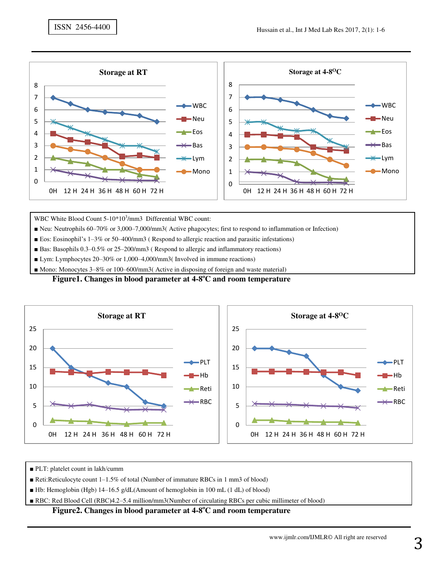

WBC White Blood Count 5-10\*10<sup>3</sup>/mm3 Differential WBC count:

■ Neu: Neutrophils 60–70% or 3,000–7,000/mm3( Active phagocytes; first to respond to inflammation or Infection)

- Eos: Eosinophil's 1–3% or 50–400/mm3 (Respond to allergic reaction and parasitic infestations)
- Bas: Basophils 0.3–0.5% or 25–200/mm3 (Respond to allergic and inflammatory reactions)
- Lym: Lymphocytes 20–30% or 1,000–4,000/mm3( Involved in immune reactions)

■ Mono: Monocytes 3–8% or 100–600/mm3( Active in disposing of foreign and waste material)

#### **Figure1. Changes in blood parameter at 4-8<sup>o</sup>C and room temperature**



■ PLT: platelet count in lakh/cumm

■ Reti:Reticulocyte count 1–1.5% of total (Number of immature RBCs in 1 mm3 of blood)

■ Hb: Hemoglobin (Hgb) 14–16.5 g/dL(Amount of hemoglobin in 100 mL (1 dL) of blood)

■ RBC: Red Blood Cell (RBC)4.2–5.4 million/mm3(Number of circulating RBCs per cubic millimeter of blood)

### **Figure2. Changes in blood parameter at 4-8<sup>o</sup>C and room temperature**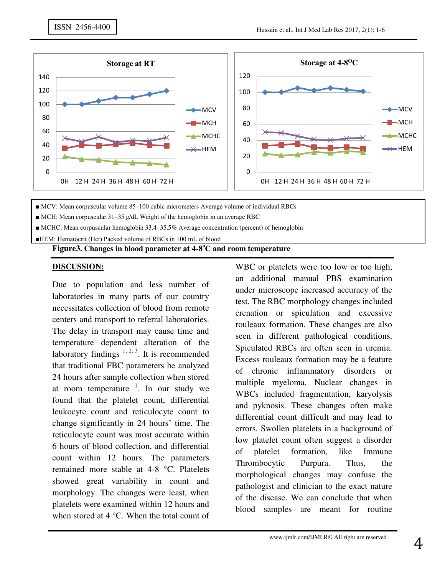

■ MCV: Mean corpuscular volume 85–100 cubic micrometers Average volume of individual RBCs

■ MCH: Mean corpuscular 31–35 g/dL Weight of the hemoglobin in an average RBC

■ MCHC: Mean corpuscular hemoglobin 33.4–35.5% Average concentration (percent) of hemoglobin

■HEM: Hematocrit (Hct) Packed volume of RBCs in 100 mL of blood

## **Figure3. Changes in blood parameter at 4-8<sup>o</sup>C and room temperature**

### **DISCUSSION:**

Due to population and less number of laboratories in many parts of our country necessitates collection of blood from remote centers and transport to referral laboratories. The delay in transport may cause time and temperature dependent alteration of the laboratory findings  $1, 2, 3$ . It is recommended that traditional FBC parameters be analyzed 24 hours after sample collection when stored at room temperature  $\frac{1}{1}$ . In our study we found that the platelet count, differential leukocyte count and reticulocyte count to change significantly in 24 hours' time. The reticulocyte count was most accurate within 6 hours of blood collection, and differential count within 12 hours. The parameters remained more stable at 4-8 °C. Platelets showed great variability in count and morphology. The changes were least, when platelets were examined within 12 hours and when stored at 4 °C. When the total count of

WBC or platelets were too low or too high, an additional manual PBS examination under microscope increased accuracy of the test. The RBC morphology changes included crenation or spiculation and excessive rouleaux formation. These changes are also seen in different pathological conditions. Spiculated RBCs are often seen in uremia. Excess rouleaux formation may be a feature of chronic inflammatory disorders or multiple myeloma. Nuclear changes in WBCs included fragmentation, karyolysis and pyknosis. These changes often make differential count difficult and may lead to errors. Swollen platelets in a background of low platelet count often suggest a disorder of platelet formation, like Immune Thrombocytic Purpura. Thus, the morphological changes may confuse the pathologist and clinician to the exact nature of the disease. We can conclude that when blood samples are meant for routine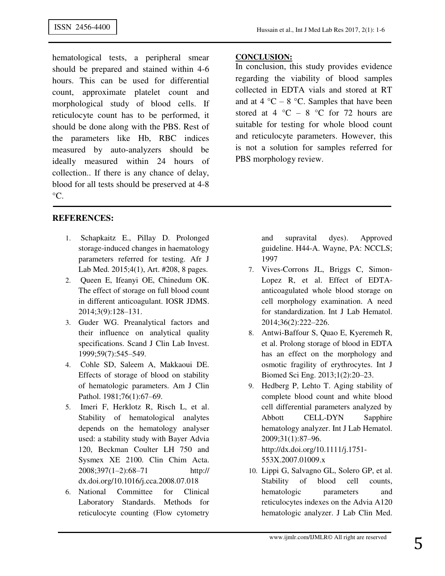hematological tests, a peripheral smear should be prepared and stained within 4-6 hours. This can be used for differential count, approximate platelet count and morphological study of blood cells. If reticulocyte count has to be performed, it should be done along with the PBS. Rest of the parameters like Hb, RBC indices measured by auto-analyzers should be ideally measured within 24 hours of collection.. If there is any chance of delay, blood for all tests should be preserved at 4-8  $\rm{^{\circ}C}.$ 

# **REFERENCES:**

- 1. Schapkaitz E., Pillay D. Prolonged storage-induced changes in haematology parameters referred for testing. Afr J Lab Med. 2015;4(1), Art. #208, 8 pages.
- 2. Queen E, Ifeanyi OE, Chinedum OK. The effect of storage on full blood count in different anticoagulant. IOSR JDMS. 2014;3(9):128–131.
- 3. Guder WG. Preanalytical factors and their influence on analytical quality specifications. Scand J Clin Lab Invest. 1999;59(7):545–549.
- 4. Cohle SD, Saleem A, Makkaoui DE. Effects of storage of blood on stability of hematologic parameters. Am J Clin Pathol. 1981;76(1):67-69.
- 5. Imeri F, Herklotz R, Risch L, et al. Stability of hematological analytes depends on the hematology analyser used: a stability study with Bayer Advia 120, Beckman Coulter LH 750 and Sysmex XE 2100. Clin Chim Acta. 2008;397(1–2):68–71 http:// dx.doi.org/10.1016/j.cca.2008.07.018
- 6. National Committee for Clinical Laboratory Standards. Methods for reticulocyte counting (Flow cytometry

## **CONCLUSION:**

In conclusion, this study provides evidence regarding the viability of blood samples collected in EDTA vials and stored at RT and at  $4^{\circ}$ C –  $8^{\circ}$ C. Samples that have been stored at 4  $^{\circ}$ C – 8  $^{\circ}$ C for 72 hours are suitable for testing for whole blood count and reticulocyte parameters. However, this is not a solution for samples referred for PBS morphology review.

> and supravital dyes). Approved guideline. H44-A. Wayne, PA: NCCLS; 1997

- 7. Vives-Corrons JL, Briggs C, Simon-Lopez R, et al. Effect of EDTAanticoagulated whole blood storage on cell morphology examination. A need for standardization. Int J Lab Hematol. 2014;36(2):222–226.
- 8. Antwi-Baffour S, Quao E, Kyeremeh R, et al. Prolong storage of blood in EDTA has an effect on the morphology and osmotic fragility of erythrocytes. Int J Biomed Sci Eng. 2013;1(2):20–23.
- 9. Hedberg P, Lehto T. Aging stability of complete blood count and white blood cell differential parameters analyzed by Abbott CELL-DYN Sapphire hematology analyzer. Int J Lab Hematol. 2009;31(1):87–96. http://dx.doi.org/10.1111/j.1751- 553X.2007.01009.x
- 10. Lippi G, Salvagno GL, Solero GP, et al. Stability of blood cell counts, hematologic parameters and reticulocytes indexes on the Advia A120 hematologic analyzer. J Lab Clin Med.